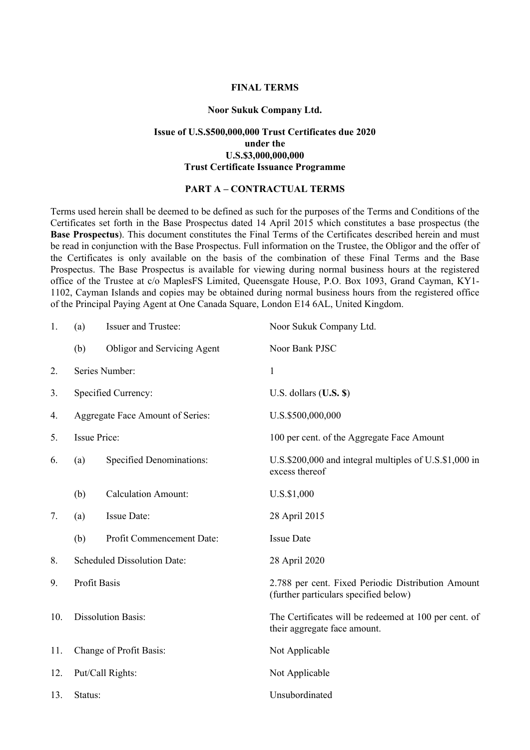### **FINAL TERMS**

#### **Noor Sukuk Company Ltd.**

## **Issue of U.S.\$500,000,000 Trust Certificates due 2020 under the U.S.\$3,000,000,000 Trust Certificate Issuance Programme**

### **PART A – CONTRACTUAL TERMS**

Terms used herein shall be deemed to be defined as such for the purposes of the Terms and Conditions of the Certificates set forth in the Base Prospectus dated 14 April 2015 which constitutes a base prospectus (the **Base Prospectus**). This document constitutes the Final Terms of the Certificates described herein and must be read in conjunction with the Base Prospectus. Full information on the Trustee, the Obligor and the offer of the Certificates is only available on the basis of the combination of these Final Terms and the Base Prospectus. The Base Prospectus is available for viewing during normal business hours at the registered office of the Trustee at c/o MaplesFS Limited, Queensgate House, P.O. Box 1093, Grand Cayman, KY1- 1102, Cayman Islands and copies may be obtained during normal business hours from the registered office of the Principal Paying Agent at One Canada Square, London E14 6AL, United Kingdom.

| 1.  | (a)                                | <b>Issuer and Trustee:</b>  | Noor Sukuk Company Ltd.                                                                     |
|-----|------------------------------------|-----------------------------|---------------------------------------------------------------------------------------------|
|     | (b)                                | Obligor and Servicing Agent | Noor Bank PJSC                                                                              |
| 2.  | Series Number:                     |                             | $\mathbf{1}$                                                                                |
| 3.  | Specified Currency:                |                             | U.S. dollars $(U.S.$ \$)                                                                    |
| 4.  | Aggregate Face Amount of Series:   |                             | U.S.\$500,000,000                                                                           |
| 5.  | <b>Issue Price:</b>                |                             | 100 per cent. of the Aggregate Face Amount                                                  |
| 6.  | (a)                                | Specified Denominations:    | U.S.\$200,000 and integral multiples of U.S.\$1,000 in<br>excess thereof                    |
|     | (b)                                | <b>Calculation Amount:</b>  | U.S.\$1,000                                                                                 |
| 7.  | (a)                                | Issue Date:                 | 28 April 2015                                                                               |
|     | (b)                                | Profit Commencement Date:   | <b>Issue Date</b>                                                                           |
| 8.  | <b>Scheduled Dissolution Date:</b> |                             | 28 April 2020                                                                               |
| 9.  | Profit Basis                       |                             | 2.788 per cent. Fixed Periodic Distribution Amount<br>(further particulars specified below) |
| 10. | <b>Dissolution Basis:</b>          |                             | The Certificates will be redeemed at 100 per cent. of<br>their aggregate face amount.       |
| 11. | Change of Profit Basis:            |                             | Not Applicable                                                                              |
| 12. | Put/Call Rights:                   |                             | Not Applicable                                                                              |
| 13. | Status:                            |                             | Unsubordinated                                                                              |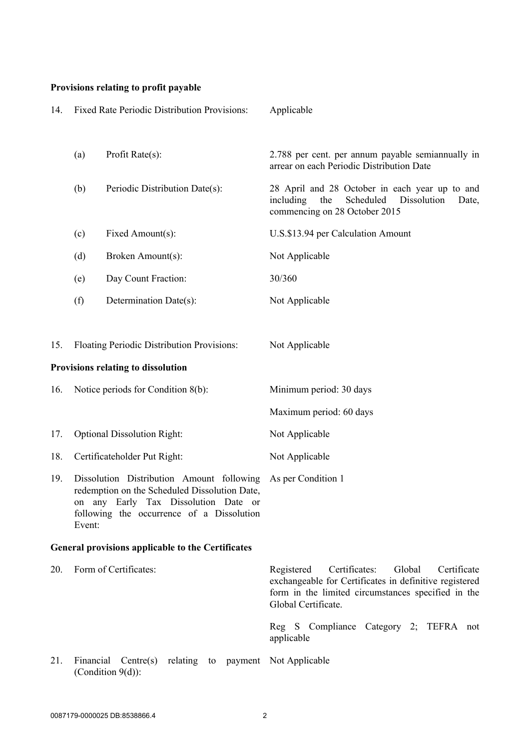# **Provisions relating to profit payable**

| 14. |                                                                                                                                                                                           | Fixed Rate Periodic Distribution Provisions:                                   | Applicable                                                                                                                                                                                  |
|-----|-------------------------------------------------------------------------------------------------------------------------------------------------------------------------------------------|--------------------------------------------------------------------------------|---------------------------------------------------------------------------------------------------------------------------------------------------------------------------------------------|
|     | (a)                                                                                                                                                                                       | Profit Rate(s):                                                                | 2.788 per cent. per annum payable semiannually in<br>arrear on each Periodic Distribution Date                                                                                              |
|     | (b)                                                                                                                                                                                       | Periodic Distribution Date(s):                                                 | 28 April and 28 October in each year up to and<br>including<br>Scheduled<br>Dissolution<br>the<br>Date,<br>commencing on 28 October 2015                                                    |
|     | (c)                                                                                                                                                                                       | Fixed Amount(s):                                                               | U.S.\$13.94 per Calculation Amount                                                                                                                                                          |
|     | (d)                                                                                                                                                                                       | Broken Amount(s):                                                              | Not Applicable                                                                                                                                                                              |
|     | (e)                                                                                                                                                                                       | Day Count Fraction:                                                            | 30/360                                                                                                                                                                                      |
|     | (f)                                                                                                                                                                                       | Determination Date(s):                                                         | Not Applicable                                                                                                                                                                              |
|     |                                                                                                                                                                                           |                                                                                |                                                                                                                                                                                             |
| 15. |                                                                                                                                                                                           | Floating Periodic Distribution Provisions:                                     | Not Applicable                                                                                                                                                                              |
|     |                                                                                                                                                                                           | Provisions relating to dissolution                                             |                                                                                                                                                                                             |
| 16. | Notice periods for Condition 8(b):                                                                                                                                                        |                                                                                | Minimum period: 30 days                                                                                                                                                                     |
|     |                                                                                                                                                                                           |                                                                                | Maximum period: 60 days                                                                                                                                                                     |
| 17. | <b>Optional Dissolution Right:</b>                                                                                                                                                        |                                                                                | Not Applicable                                                                                                                                                                              |
| 18. | Certificateholder Put Right:                                                                                                                                                              |                                                                                | Not Applicable                                                                                                                                                                              |
| 19. | Dissolution Distribution Amount following<br>redemption on the Scheduled Dissolution Date,<br>on any Early Tax Dissolution Date or<br>following the occurrence of a Dissolution<br>Event: |                                                                                | As per Condition 1                                                                                                                                                                          |
|     |                                                                                                                                                                                           | <b>General provisions applicable to the Certificates</b>                       |                                                                                                                                                                                             |
| 20. | Form of Certificates:                                                                                                                                                                     |                                                                                | Certificates:<br>Global<br>Certificate<br>Registered<br>exchangeable for Certificates in definitive registered<br>form in the limited circumstances specified in the<br>Global Certificate. |
|     |                                                                                                                                                                                           |                                                                                | Reg S Compliance Category 2; TEFRA not<br>applicable                                                                                                                                        |
| 21. |                                                                                                                                                                                           | Financial Centre(s) relating to payment Not Applicable<br>(Condition $9(d)$ ): |                                                                                                                                                                                             |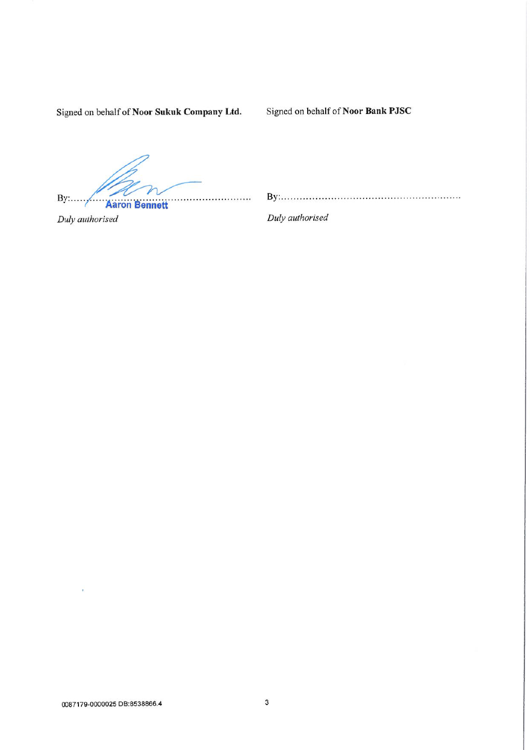Signed on behalf of Noor Sukuk Company Ltd.

Signed on behalf of Noor Bank PJSC

 $By:....$ ................ **Aaron Bennett** 

Duly authorised

Duly authorised

ł,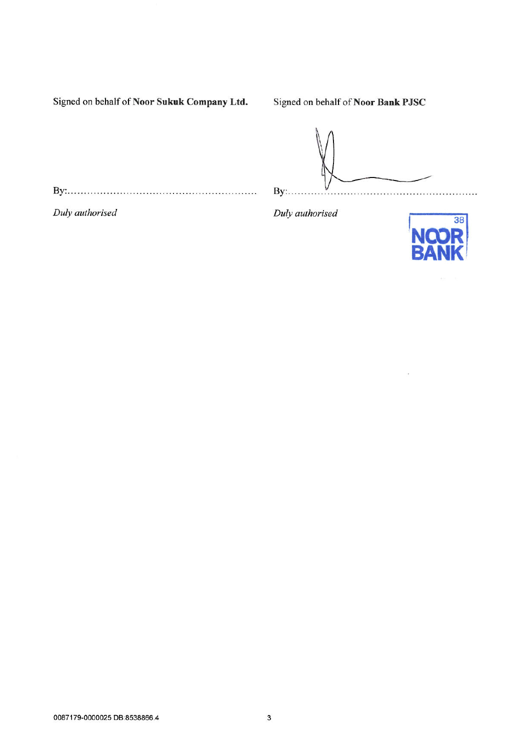Signed on behalf of Noor Sukuk Company Ltd.

Signed on behalf of Noor Bank PJSC

 $By: \ldots$ . 

Duly authorised

Duly authorised



à.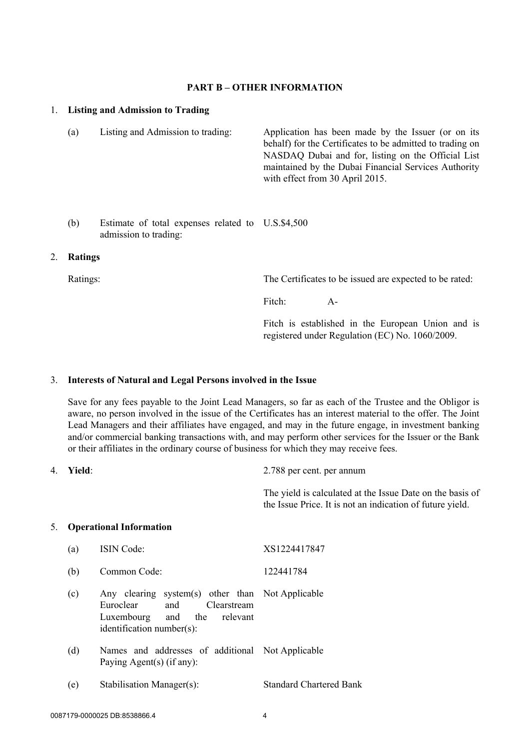#### **PART B – OTHER INFORMATION**

#### 1. **Listing and Admission to Trading**

- (a) Listing and Admission to trading: Application has been made by the Issuer (or on its behalf) for the Certificates to be admitted to trading on NASDAQ Dubai and for, listing on the Official List maintained by the Dubai Financial Services Authority with effect from 30 April 2015.
- (b) Estimate of total expenses related to U.S.\$4,500 admission to trading:

#### 2. **Ratings**

Ratings: The Certificates to be issued are expected to be rated:

Fitch: A-

Fitch is established in the European Union and is registered under Regulation (EC) No. 1060/2009.

#### 3. **Interests of Natural and Legal Persons involved in the Issue**

Save for any fees payable to the Joint Lead Managers, so far as each of the Trustee and the Obligor is aware, no person involved in the issue of the Certificates has an interest material to the offer. The Joint Lead Managers and their affiliates have engaged, and may in the future engage, in investment banking and/or commercial banking transactions with, and may perform other services for the Issuer or the Bank or their affiliates in the ordinary course of business for which they may receive fees.

4. **Yield**: 2.788 per cent. per annum

The yield is calculated at the Issue Date on the basis of the Issue Price. It is not an indication of future yield.

#### 5. **Operational Information**

(a) ISIN Code: XS1224417847 (b) Common Code: 122441784 (c) Any clearing system(s) other than Not Applicable Euroclear and Clearstream Luxembourg and the relevant identification number(s): (d) Names and addresses of additional Not Applicable Paying Agent(s) (if any): (e) Stabilisation Manager(s): Standard Chartered Bank